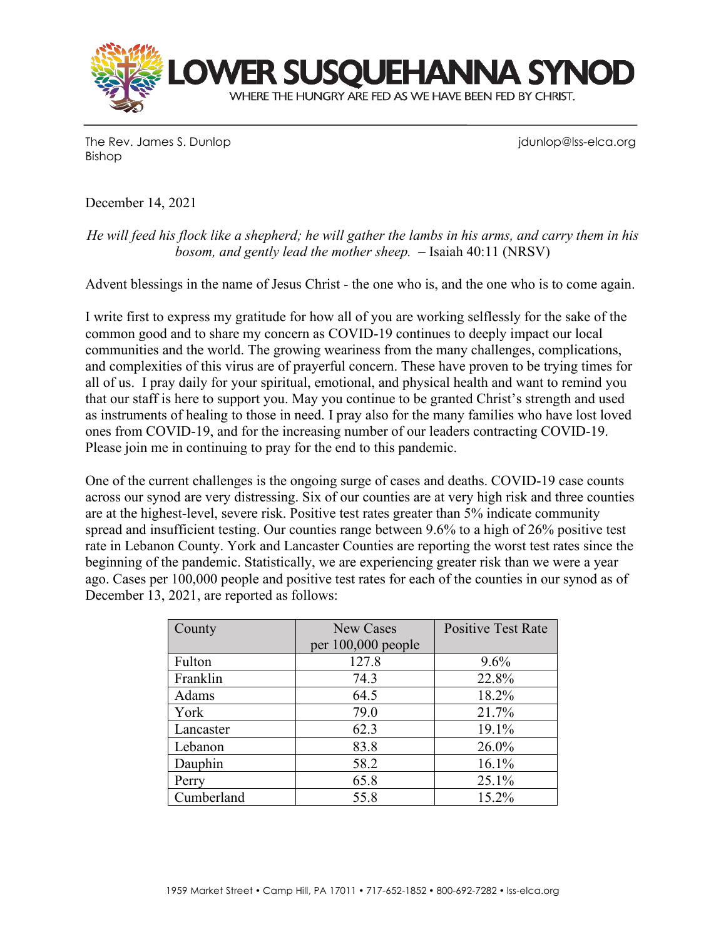

The Rev. James S. Dunlop junior in the Rev. James S. Dunlop junior in the Rev. James S. Dunlop in the Vietnam Bishop

December 14, 2021

*He will feed his flock like a shepherd; he will gather the lambs in his arms, and carry them in his bosom, and gently lead the mother sheep.* – Isaiah 40:11 (NRSV)

Advent blessings in the name of Jesus Christ - the one who is, and the one who is to come again.

I write first to express my gratitude for how all of you are working selflessly for the sake of the common good and to share my concern as COVID-19 continues to deeply impact our local communities and the world. The growing weariness from the many challenges, complications, and complexities of this virus are of prayerful concern. These have proven to be trying times for all of us. I pray daily for your spiritual, emotional, and physical health and want to remind you that our staff is here to support you. May you continue to be granted Christ's strength and used as instruments of healing to those in need. I pray also for the many families who have lost loved ones from COVID-19, and for the increasing number of our leaders contracting COVID-19. Please join me in continuing to pray for the end to this pandemic.

One of the current challenges is the ongoing surge of cases and deaths. COVID-19 case counts across our synod are very distressing. Six of our counties are at very high risk and three counties are at the highest-level, severe risk. Positive test rates greater than 5% indicate community spread and insufficient testing. Our counties range between 9.6% to a high of 26% positive test rate in Lebanon County. York and Lancaster Counties are reporting the worst test rates since the beginning of the pandemic. Statistically, we are experiencing greater risk than we were a year ago. Cases per 100,000 people and positive test rates for each of the counties in our synod as of December 13, 2021, are reported as follows:

| County     | <b>New Cases</b>     | <b>Positive Test Rate</b> |
|------------|----------------------|---------------------------|
|            | per $100,000$ people |                           |
| Fulton     | 127.8                | 9.6%                      |
| Franklin   | 74.3                 | 22.8%                     |
| Adams      | 64.5                 | 18.2%                     |
| York       | 79.0                 | 21.7%                     |
| Lancaster  | 62.3                 | 19.1%                     |
| Lebanon    | 83.8                 | 26.0%                     |
| Dauphin    | 58.2                 | 16.1%                     |
| Perry      | 65.8                 | 25.1%                     |
| Cumberland | 55.8                 | 15.2%                     |